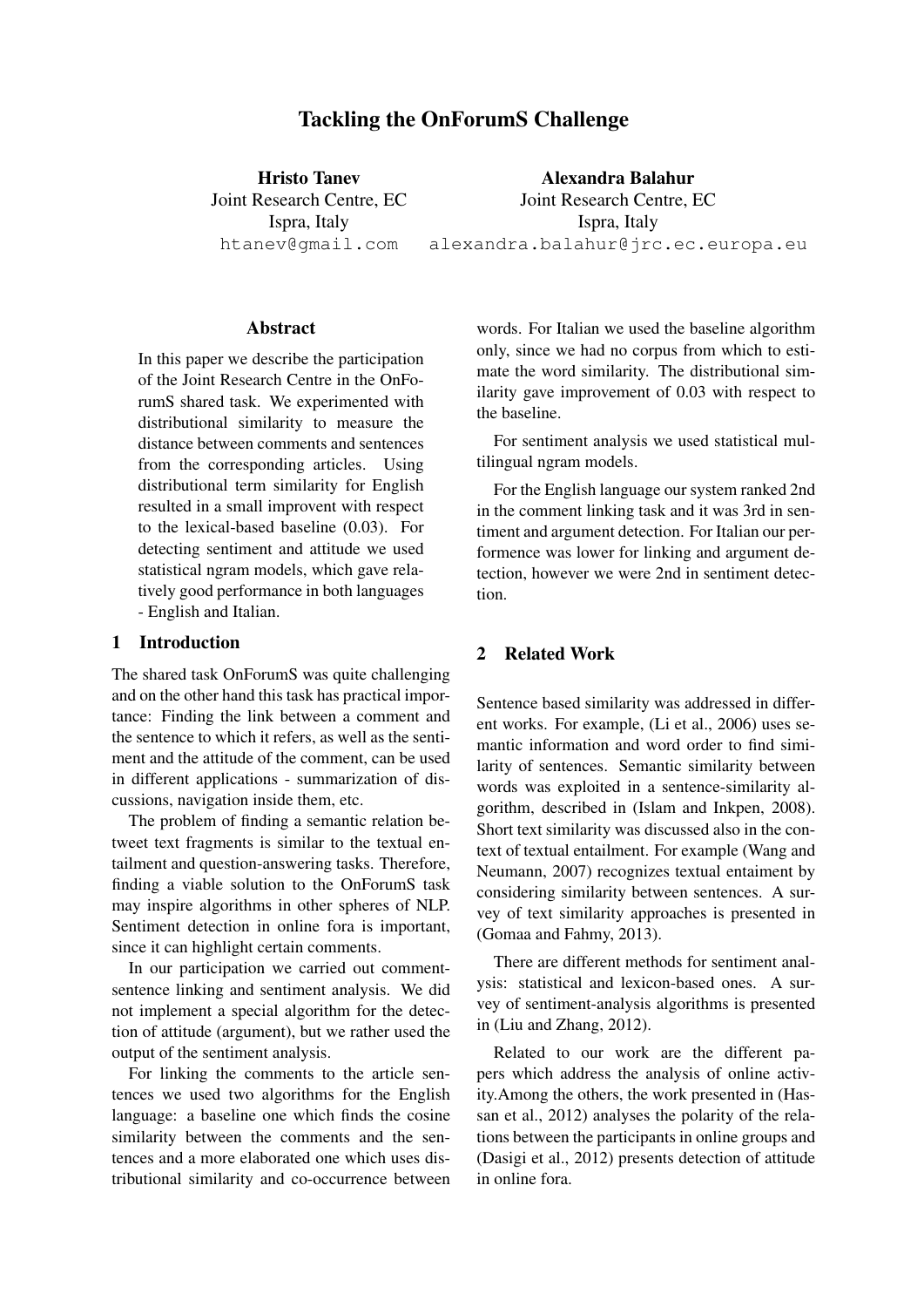# Tackling the OnForumS Challenge

Hristo Tanev Joint Research Centre, EC Ispra, Italy htanev@gmail.com

Alexandra Balahur Joint Research Centre, EC Ispra, Italy alexandra.balahur@jrc.ec.europa.eu

### **Abstract**

In this paper we describe the participation of the Joint Research Centre in the OnForumS shared task. We experimented with distributional similarity to measure the distance between comments and sentences from the corresponding articles. Using distributional term similarity for English resulted in a small improvent with respect to the lexical-based baseline (0.03). For detecting sentiment and attitude we used statistical ngram models, which gave relatively good performance in both languages - English and Italian.

## 1 Introduction

The shared task OnForumS was quite challenging and on the other hand this task has practical importance: Finding the link between a comment and the sentence to which it refers, as well as the sentiment and the attitude of the comment, can be used in different applications - summarization of discussions, navigation inside them, etc.

The problem of finding a semantic relation betweet text fragments is similar to the textual entailment and question-answering tasks. Therefore, finding a viable solution to the OnForumS task may inspire algorithms in other spheres of NLP. Sentiment detection in online fora is important, since it can highlight certain comments.

In our participation we carried out commentsentence linking and sentiment analysis. We did not implement a special algorithm for the detection of attitude (argument), but we rather used the output of the sentiment analysis.

For linking the comments to the article sentences we used two algorithms for the English language: a baseline one which finds the cosine similarity between the comments and the sentences and a more elaborated one which uses distributional similarity and co-occurrence between

words. For Italian we used the baseline algorithm only, since we had no corpus from which to estimate the word similarity. The distributional similarity gave improvement of 0.03 with respect to the baseline.

For sentiment analysis we used statistical multilingual ngram models.

For the English language our system ranked 2nd in the comment linking task and it was 3rd in sentiment and argument detection. For Italian our performence was lower for linking and argument detection, however we were 2nd in sentiment detection.

# 2 Related Work

Sentence based similarity was addressed in different works. For example, (Li et al., 2006) uses semantic information and word order to find similarity of sentences. Semantic similarity between words was exploited in a sentence-similarity algorithm, described in (Islam and Inkpen, 2008). Short text similarity was discussed also in the context of textual entailment. For example (Wang and Neumann, 2007) recognizes textual entaiment by considering similarity between sentences. A survey of text similarity approaches is presented in (Gomaa and Fahmy, 2013).

There are different methods for sentiment analysis: statistical and lexicon-based ones. A survey of sentiment-analysis algorithms is presented in (Liu and Zhang, 2012).

Related to our work are the different papers which address the analysis of online activity.Among the others, the work presented in (Hassan et al., 2012) analyses the polarity of the relations between the participants in online groups and (Dasigi et al., 2012) presents detection of attitude in online fora.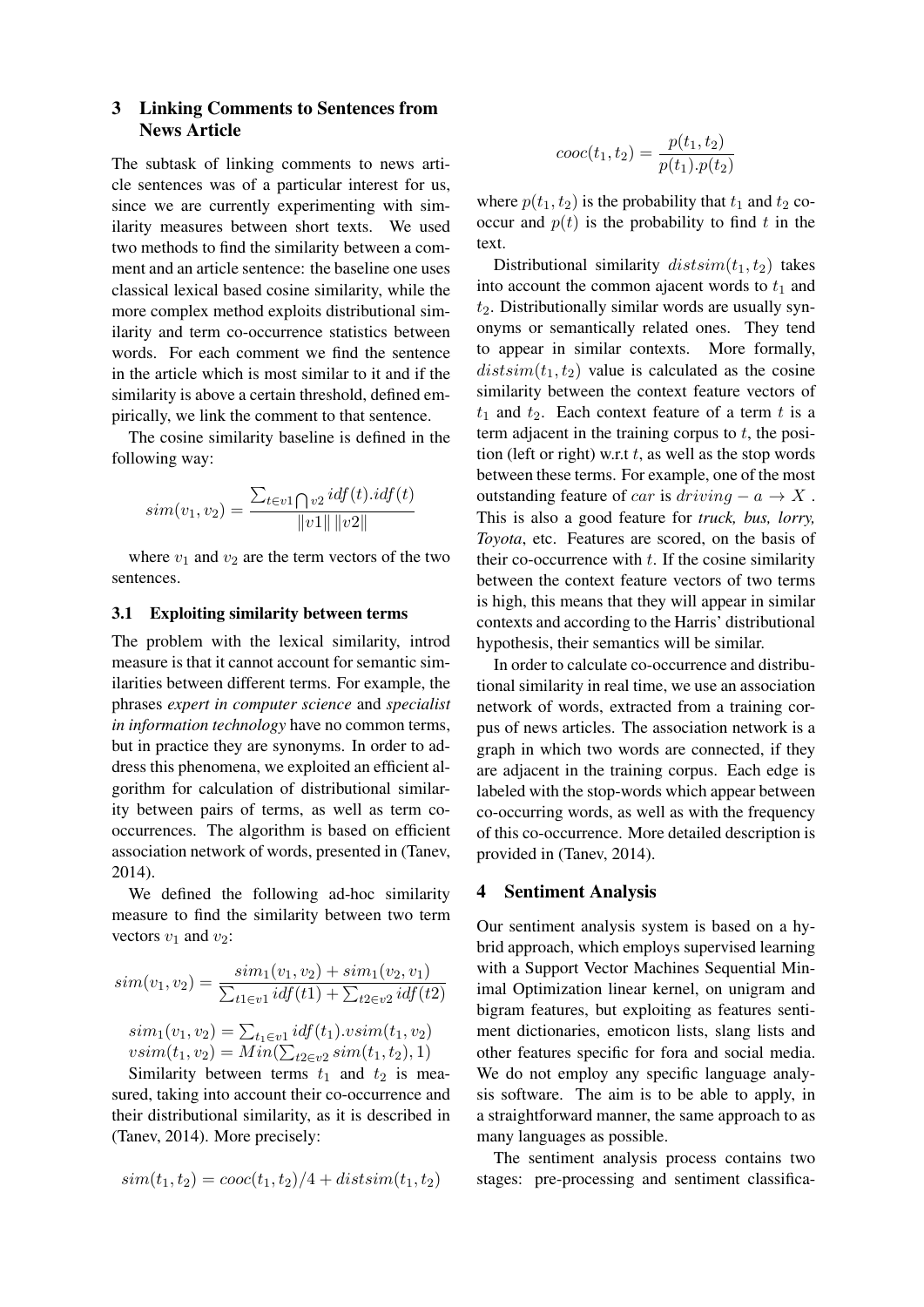# 3 Linking Comments to Sentences from News Article

The subtask of linking comments to news article sentences was of a particular interest for us, since we are currently experimenting with similarity measures between short texts. We used two methods to find the similarity between a comment and an article sentence: the baseline one uses classical lexical based cosine similarity, while the more complex method exploits distributional similarity and term co-occurrence statistics between words. For each comment we find the sentence in the article which is most similar to it and if the similarity is above a certain threshold, defined empirically, we link the comment to that sentence.

The cosine similarity baseline is defined in the following way:

$$
sim(v_1, v_2) = \frac{\sum_{t \in v1 \bigcap v2} idf(t) . idf(t)}{\|v1\| \|v2\|}
$$

where  $v_1$  and  $v_2$  are the term vectors of the two sentences.

#### 3.1 Exploiting similarity between terms

The problem with the lexical similarity, introd measure is that it cannot account for semantic similarities between different terms. For example, the phrases *expert in computer science* and *specialist in information technology* have no common terms, but in practice they are synonyms. In order to address this phenomena, we exploited an efficient algorithm for calculation of distributional similarity between pairs of terms, as well as term cooccurrences. The algorithm is based on efficient association network of words, presented in (Tanev, 2014).

We defined the following ad-hoc similarity measure to find the similarity between two term vectors  $v_1$  and  $v_2$ :

$$
sim(v_1, v_2) = \frac{sim_1(v_1, v_2) + sim_1(v_2, v_1)}{\sum_{t1 \in v_1} idf(t1) + \sum_{t2 \in v_2} idf(t2)}
$$

$$
sim_1(v_1, v_2) = \sum_{t_1 \in v_1} idf(t_1) \cdot vsim(t_1, v_2)
$$

$$
vsim(t_1, v_2) = Min(\sum_{t2 \in v_2} sim(t_1, t_2), 1)
$$

Similarity between terms  $t_1$  and  $t_2$  is measured, taking into account their co-occurrence and their distributional similarity, as it is described in (Tanev, 2014). More precisely:

$$
sim(t_1, t_2) = cooc(t_1, t_2)/4 + distsim(t_1, t_2)
$$

$$
cooc(t_1, t_2) = \frac{p(t_1, t_2)}{p(t_1).p(t_2)}
$$

where  $p(t_1, t_2)$  is the probability that  $t_1$  and  $t_2$  cooccur and  $p(t)$  is the probability to find t in the text.

Distributional similarity  $distsim(t_1, t_2)$  takes into account the common ajacent words to  $t_1$  and  $t_2$ . Distributionally similar words are usually synonyms or semantically related ones. They tend to appear in similar contexts. More formally,  $distsim(t_1, t_2)$  value is calculated as the cosine similarity between the context feature vectors of  $t_1$  and  $t_2$ . Each context feature of a term t is a term adjacent in the training corpus to  $t$ , the position (left or right) w.r.t  $t$ , as well as the stop words between these terms. For example, one of the most outstanding feature of *car* is  $driving - a \rightarrow X$ . This is also a good feature for *truck, bus, lorry, Toyota*, etc. Features are scored, on the basis of their co-occurrence with  $t$ . If the cosine similarity between the context feature vectors of two terms is high, this means that they will appear in similar contexts and according to the Harris' distributional hypothesis, their semantics will be similar.

In order to calculate co-occurrence and distributional similarity in real time, we use an association network of words, extracted from a training corpus of news articles. The association network is a graph in which two words are connected, if they are adjacent in the training corpus. Each edge is labeled with the stop-words which appear between co-occurring words, as well as with the frequency of this co-occurrence. More detailed description is provided in (Tanev, 2014).

#### 4 Sentiment Analysis

Our sentiment analysis system is based on a hybrid approach, which employs supervised learning with a Support Vector Machines Sequential Minimal Optimization linear kernel, on unigram and bigram features, but exploiting as features sentiment dictionaries, emoticon lists, slang lists and other features specific for fora and social media. We do not employ any specific language analysis software. The aim is to be able to apply, in a straightforward manner, the same approach to as many languages as possible.

The sentiment analysis process contains two stages: pre-processing and sentiment classifica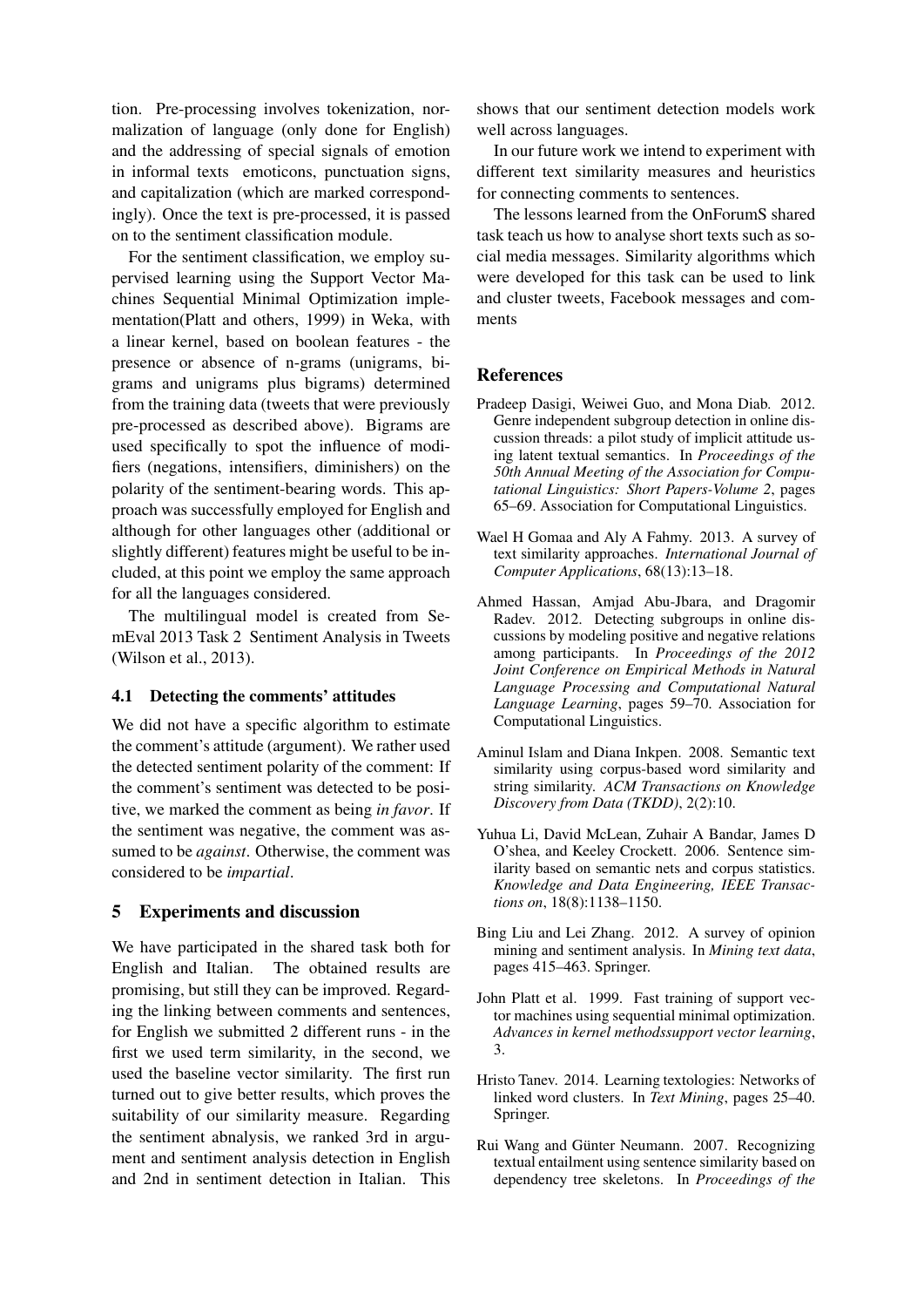tion. Pre-processing involves tokenization, normalization of language (only done for English) and the addressing of special signals of emotion in informal texts emoticons, punctuation signs, and capitalization (which are marked correspondingly). Once the text is pre-processed, it is passed on to the sentiment classification module.

For the sentiment classification, we employ supervised learning using the Support Vector Machines Sequential Minimal Optimization implementation(Platt and others, 1999) in Weka, with a linear kernel, based on boolean features - the presence or absence of n-grams (unigrams, bigrams and unigrams plus bigrams) determined from the training data (tweets that were previously pre-processed as described above). Bigrams are used specifically to spot the influence of modifiers (negations, intensifiers, diminishers) on the polarity of the sentiment-bearing words. This approach was successfully employed for English and although for other languages other (additional or slightly different) features might be useful to be included, at this point we employ the same approach for all the languages considered.

The multilingual model is created from SemEval 2013 Task 2 Sentiment Analysis in Tweets (Wilson et al., 2013).

#### 4.1 Detecting the comments' attitudes

We did not have a specific algorithm to estimate the comment's attitude (argument). We rather used the detected sentiment polarity of the comment: If the comment's sentiment was detected to be positive, we marked the comment as being *in favor*. If the sentiment was negative, the comment was assumed to be *against*. Otherwise, the comment was considered to be *impartial*.

### 5 Experiments and discussion

We have participated in the shared task both for English and Italian. The obtained results are promising, but still they can be improved. Regarding the linking between comments and sentences, for English we submitted 2 different runs - in the first we used term similarity, in the second, we used the baseline vector similarity. The first run turned out to give better results, which proves the suitability of our similarity measure. Regarding the sentiment abnalysis, we ranked 3rd in argument and sentiment analysis detection in English and 2nd in sentiment detection in Italian. This shows that our sentiment detection models work well across languages.

In our future work we intend to experiment with different text similarity measures and heuristics for connecting comments to sentences.

The lessons learned from the OnForumS shared task teach us how to analyse short texts such as social media messages. Similarity algorithms which were developed for this task can be used to link and cluster tweets, Facebook messages and comments

### **References**

- Pradeep Dasigi, Weiwei Guo, and Mona Diab. 2012. Genre independent subgroup detection in online discussion threads: a pilot study of implicit attitude using latent textual semantics. In *Proceedings of the 50th Annual Meeting of the Association for Computational Linguistics: Short Papers-Volume 2*, pages 65–69. Association for Computational Linguistics.
- Wael H Gomaa and Aly A Fahmy. 2013. A survey of text similarity approaches. *International Journal of Computer Applications*, 68(13):13–18.
- Ahmed Hassan, Amjad Abu-Jbara, and Dragomir Radev. 2012. Detecting subgroups in online discussions by modeling positive and negative relations among participants. In *Proceedings of the 2012 Joint Conference on Empirical Methods in Natural Language Processing and Computational Natural Language Learning*, pages 59–70. Association for Computational Linguistics.
- Aminul Islam and Diana Inkpen. 2008. Semantic text similarity using corpus-based word similarity and string similarity. *ACM Transactions on Knowledge Discovery from Data (TKDD)*, 2(2):10.
- Yuhua Li, David McLean, Zuhair A Bandar, James D O'shea, and Keeley Crockett. 2006. Sentence similarity based on semantic nets and corpus statistics. *Knowledge and Data Engineering, IEEE Transactions on*, 18(8):1138–1150.
- Bing Liu and Lei Zhang. 2012. A survey of opinion mining and sentiment analysis. In *Mining text data*, pages 415–463. Springer.
- John Platt et al. 1999. Fast training of support vector machines using sequential minimal optimization. *Advances in kernel methodssupport vector learning*, 3.
- Hristo Tanev. 2014. Learning textologies: Networks of linked word clusters. In *Text Mining*, pages 25–40. Springer.
- Rui Wang and Günter Neumann. 2007. Recognizing textual entailment using sentence similarity based on dependency tree skeletons. In *Proceedings of the*